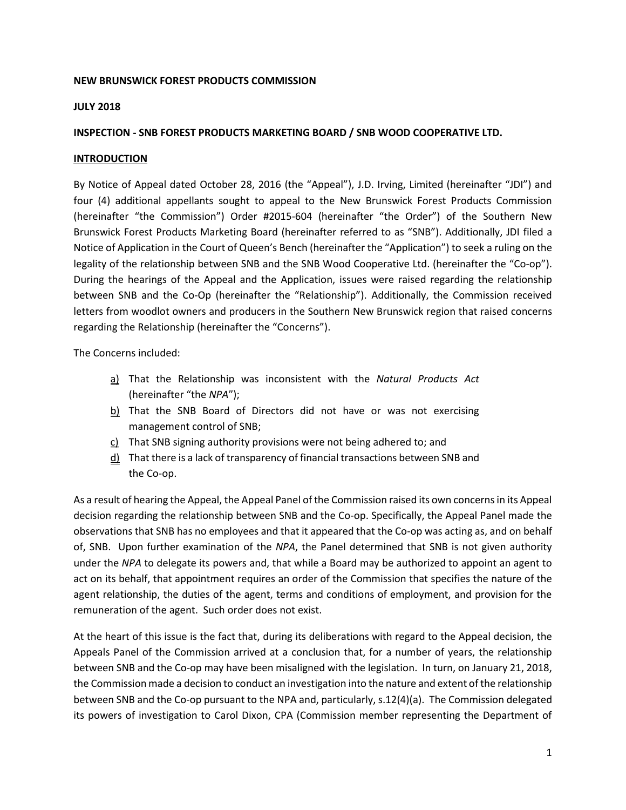### **NEW BRUNSWICK FOREST PRODUCTS COMMISSION**

#### **JULY 2018**

### **INSPECTION - SNB FOREST PRODUCTS MARKETING BOARD / SNB WOOD COOPERATIVE LTD.**

#### **INTRODUCTION**

By Notice of Appeal dated October 28, 2016 (the "Appeal"), J.D. Irving, Limited (hereinafter "JDI") and four (4) additional appellants sought to appeal to the New Brunswick Forest Products Commission (hereinafter "the Commission") Order #2015-604 (hereinafter "the Order") of the Southern New Brunswick Forest Products Marketing Board (hereinafter referred to as "SNB"). Additionally, JDI filed a Notice of Application in the Court of Queen's Bench (hereinafter the "Application") to seek a ruling on the legality of the relationship between SNB and the SNB Wood Cooperative Ltd. (hereinafter the "Co-op"). During the hearings of the Appeal and the Application, issues were raised regarding the relationship between SNB and the Co-Op (hereinafter the "Relationship"). Additionally, the Commission received letters from woodlot owners and producers in the Southern New Brunswick region that raised concerns regarding the Relationship (hereinafter the "Concerns").

The Concerns included:

- a) That the Relationship was inconsistent with the *Natural Products Act* (hereinafter "the *NPA*");
- $b$ ) That the SNB Board of Directors did not have or was not exercising management control of SNB;
- $c)$  That SNB signing authority provisions were not being adhered to; and
- $d$ ) That there is a lack of transparency of financial transactions between SNB and the Co-op.

As a result of hearing the Appeal, the Appeal Panel of the Commission raised its own concerns in its Appeal decision regarding the relationship between SNB and the Co-op. Specifically, the Appeal Panel made the observations that SNB has no employees and that it appeared that the Co-op was acting as, and on behalf of, SNB. Upon further examination of the *NPA*, the Panel determined that SNB is not given authority under the *NPA* to delegate its powers and, that while a Board may be authorized to appoint an agent to act on its behalf, that appointment requires an order of the Commission that specifies the nature of the agent relationship, the duties of the agent, terms and conditions of employment, and provision for the remuneration of the agent. Such order does not exist.

At the heart of this issue is the fact that, during its deliberations with regard to the Appeal decision, the Appeals Panel of the Commission arrived at a conclusion that, for a number of years, the relationship between SNB and the Co-op may have been misaligned with the legislation. In turn, on January 21, 2018, the Commission made a decision to conduct an investigation into the nature and extent of the relationship between SNB and the Co-op pursuant to the NPA and, particularly, s.12(4)(a). The Commission delegated its powers of investigation to Carol Dixon, CPA (Commission member representing the Department of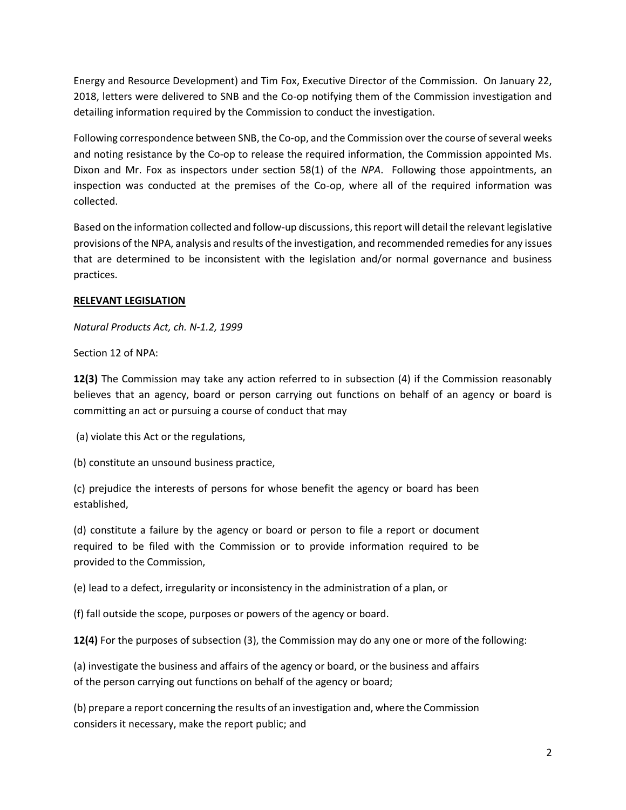Energy and Resource Development) and Tim Fox, Executive Director of the Commission. On January 22, 2018, letters were delivered to SNB and the Co-op notifying them of the Commission investigation and detailing information required by the Commission to conduct the investigation.

Following correspondence between SNB, the Co-op, and the Commission over the course of several weeks and noting resistance by the Co-op to release the required information, the Commission appointed Ms. Dixon and Mr. Fox as inspectors under section 58(1) of the *NPA*. Following those appointments, an inspection was conducted at the premises of the Co-op, where all of the required information was collected.

Based on the information collected and follow-up discussions, this report will detail the relevant legislative provisions of the NPA, analysis and results of the investigation, and recommended remedies for any issues that are determined to be inconsistent with the legislation and/or normal governance and business practices.

## **RELEVANT LEGISLATION**

*Natural Products Act, ch. N-1.2, 1999*

Section 12 of NPA:

**12(3)** The Commission may take any action referred to in subsection (4) if the Commission reasonably believes that an agency, board or person carrying out functions on behalf of an agency or board is committing an act or pursuing a course of conduct that may

(a) violate this Act or the regulations,

(b) constitute an unsound business practice,

(c) prejudice the interests of persons for whose benefit the agency or board has been established,

(d) constitute a failure by the agency or board or person to file a report or document required to be filed with the Commission or to provide information required to be provided to the Commission,

(e) lead to a defect, irregularity or inconsistency in the administration of a plan, or

(f) fall outside the scope, purposes or powers of the agency or board.

**12(4)** For the purposes of subsection (3), the Commission may do any one or more of the following:

(a) investigate the business and affairs of the agency or board, or the business and affairs of the person carrying out functions on behalf of the agency or board;

(b) prepare a report concerning the results of an investigation and, where the Commission considers it necessary, make the report public; and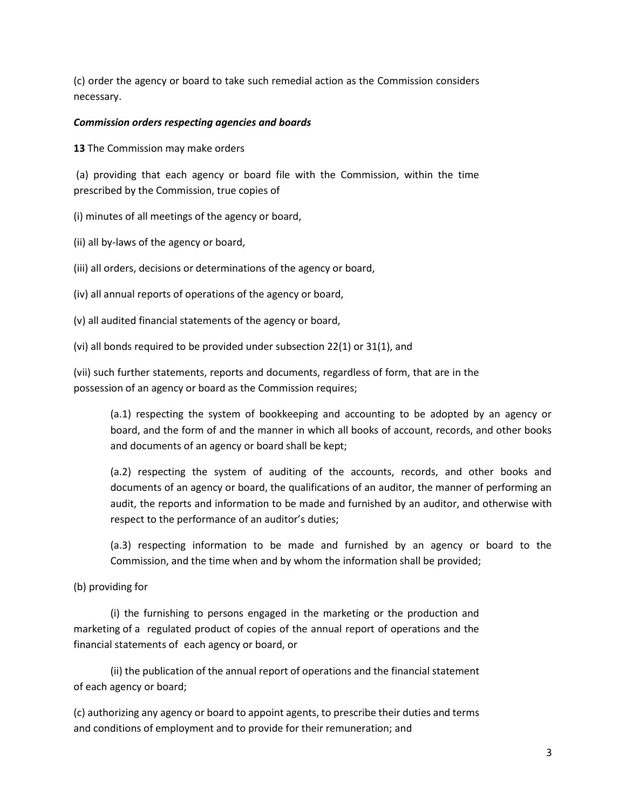(c) order the agency or board to take such remedial action as the Commission considers necessary.

#### *Commission orders respecting agencies and boards*

**13** The Commission may make orders

(a) providing that each agency or board file with the Commission, within the time prescribed by the Commission, true copies of

(i) minutes of all meetings of the agency or board,

- (ii) all by-laws of the agency or board,
- (iii) all orders, decisions or determinations of the agency or board,
- (iv) all annual reports of operations of the agency or board,
- (v) all audited financial statements of the agency or board,
- (vi) all bonds required to be provided under subsection 22(1) or 31(1), and

(vii) such further statements, reports and documents, regardless of form, that are in the possession of an agency or board as the Commission requires;

(a.1) respecting the system of bookkeeping and accounting to be adopted by an agency or board, and the form of and the manner in which all books of account, records, and other books and documents of an agency or board shall be kept;

(a.2) respecting the system of auditing of the accounts, records, and other books and documents of an agency or board, the qualifications of an auditor, the manner of performing an audit, the reports and information to be made and furnished by an auditor, and otherwise with respect to the performance of an auditor's duties;

(a.3) respecting information to be made and furnished by an agency or board to the Commission, and the time when and by whom the information shall be provided;

## (b) providing for

(i) the furnishing to persons engaged in the marketing or the production and marketing of a regulated product of copies of the annual report of operations and the financial statements of each agency or board, or

(ii) the publication of the annual report of operations and the financial statement of each agency or board;

(c) authorizing any agency or board to appoint agents, to prescribe their duties and terms and conditions of employment and to provide for their remuneration; and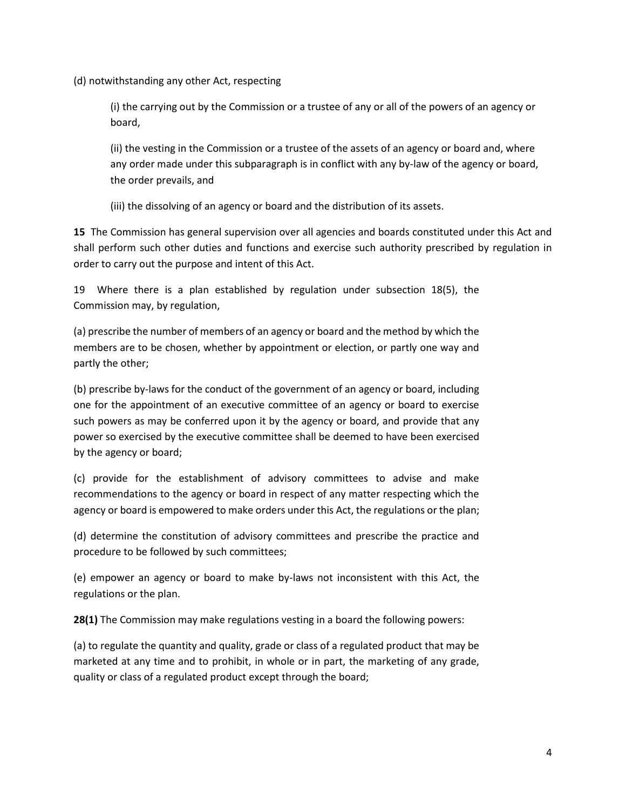(d) notwithstanding any other Act, respecting

(i) the carrying out by the Commission or a trustee of any or all of the powers of an agency or board,

(ii) the vesting in the Commission or a trustee of the assets of an agency or board and, where any order made under this subparagraph is in conflict with any by-law of the agency or board, the order prevails, and

(iii) the dissolving of an agency or board and the distribution of its assets.

**15** The Commission has general supervision over all agencies and boards constituted under this Act and shall perform such other duties and functions and exercise such authority prescribed by regulation in order to carry out the purpose and intent of this Act.

19 Where there is a plan established by regulation under subsection 18(5), the Commission may, by regulation,

(a) prescribe the number of members of an agency or board and the method by which the members are to be chosen, whether by appointment or election, or partly one way and partly the other;

(b) prescribe by-laws for the conduct of the government of an agency or board, including one for the appointment of an executive committee of an agency or board to exercise such powers as may be conferred upon it by the agency or board, and provide that any power so exercised by the executive committee shall be deemed to have been exercised by the agency or board;

(c) provide for the establishment of advisory committees to advise and make recommendations to the agency or board in respect of any matter respecting which the agency or board is empowered to make orders under this Act, the regulations or the plan;

(d) determine the constitution of advisory committees and prescribe the practice and procedure to be followed by such committees;

(e) empower an agency or board to make by-laws not inconsistent with this Act, the regulations or the plan.

**28(1)** The Commission may make regulations vesting in a board the following powers:

(a) to regulate the quantity and quality, grade or class of a regulated product that may be marketed at any time and to prohibit, in whole or in part, the marketing of any grade, quality or class of a regulated product except through the board;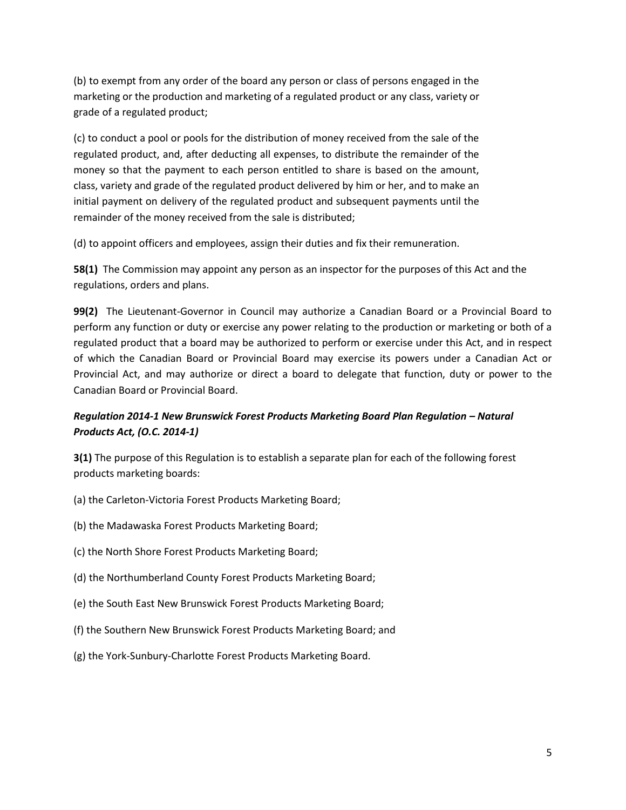(b) to exempt from any order of the board any person or class of persons engaged in the marketing or the production and marketing of a regulated product or any class, variety or grade of a regulated product;

(c) to conduct a pool or pools for the distribution of money received from the sale of the regulated product, and, after deducting all expenses, to distribute the remainder of the money so that the payment to each person entitled to share is based on the amount, class, variety and grade of the regulated product delivered by him or her, and to make an initial payment on delivery of the regulated product and subsequent payments until the remainder of the money received from the sale is distributed;

(d) to appoint officers and employees, assign their duties and fix their remuneration.

**58(1)** The Commission may appoint any person as an inspector for the purposes of this Act and the regulations, orders and plans.

**99(2)** The Lieutenant-Governor in Council may authorize a Canadian Board or a Provincial Board to perform any function or duty or exercise any power relating to the production or marketing or both of a regulated product that a board may be authorized to perform or exercise under this Act, and in respect of which the Canadian Board or Provincial Board may exercise its powers under a Canadian Act or Provincial Act, and may authorize or direct a board to delegate that function, duty or power to the Canadian Board or Provincial Board.

# *Regulation 2014-1 New Brunswick Forest Products Marketing Board Plan Regulation - Natural Products Act, (O.C. 2014-1)*

**3(1)** The purpose of this Regulation is to establish a separate plan for each of the following forest products marketing boards:

- (a) the Carleton-Victoria Forest Products Marketing Board;
- (b) the Madawaska Forest Products Marketing Board;
- (c) the North Shore Forest Products Marketing Board;
- (d) the Northumberland County Forest Products Marketing Board;
- (e) the South East New Brunswick Forest Products Marketing Board;
- (f) the Southern New Brunswick Forest Products Marketing Board; and
- (g) the York-Sunbury-Charlotte Forest Products Marketing Board.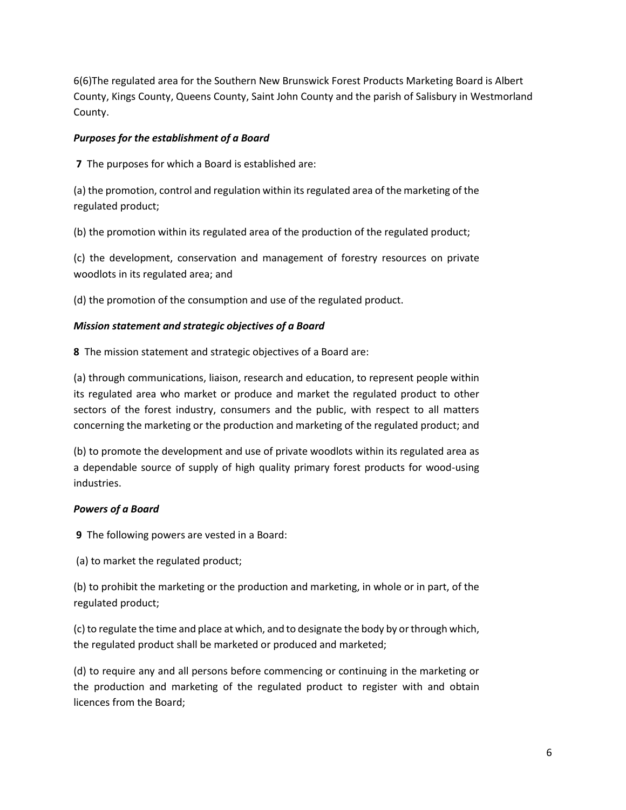6(6)The regulated area for the Southern New Brunswick Forest Products Marketing Board is Albert County, Kings County, Queens County, Saint John County and the parish of Salisbury in Westmorland County.

### *Purposes for the establishment of a Board*

**7** The purposes for which a Board is established are:

(a) the promotion, control and regulation within its regulated area of the marketing of the regulated product;

(b) the promotion within its regulated area of the production of the regulated product;

(c) the development, conservation and management of forestry resources on private woodlots in its regulated area; and

(d) the promotion of the consumption and use of the regulated product.

### *Mission statement and strategic objectives of a Board*

**8** The mission statement and strategic objectives of a Board are:

(a) through communications, liaison, research and education, to represent people within its regulated area who market or produce and market the regulated product to other sectors of the forest industry, consumers and the public, with respect to all matters concerning the marketing or the production and marketing of the regulated product; and

(b) to promote the development and use of private woodlots within its regulated area as a dependable source of supply of high quality primary forest products for wood-using industries.

## *Powers of a Board*

**9** The following powers are vested in a Board:

(a) to market the regulated product;

(b) to prohibit the marketing or the production and marketing, in whole or in part, of the regulated product;

(c) to regulate the time and place at which, and to designate the body by or through which, the regulated product shall be marketed or produced and marketed;

(d) to require any and all persons before commencing or continuing in the marketing or the production and marketing of the regulated product to register with and obtain licences from the Board;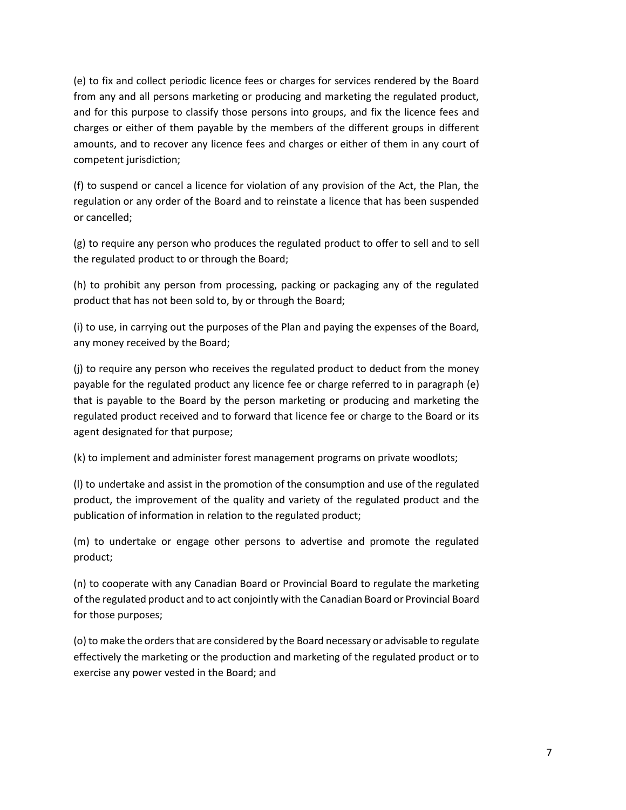(e) to fix and collect periodic licence fees or charges for services rendered by the Board from any and all persons marketing or producing and marketing the regulated product, and for this purpose to classify those persons into groups, and fix the licence fees and charges or either of them payable by the members of the different groups in different amounts, and to recover any licence fees and charges or either of them in any court of competent jurisdiction;

(f) to suspend or cancel a licence for violation of any provision of the Act, the Plan, the regulation or any order of the Board and to reinstate a licence that has been suspended or cancelled;

(g) to require any person who produces the regulated product to offer to sell and to sell the regulated product to or through the Board;

(h) to prohibit any person from processing, packing or packaging any of the regulated product that has not been sold to, by or through the Board;

(i) to use, in carrying out the purposes of the Plan and paying the expenses of the Board, any money received by the Board;

(j) to require any person who receives the regulated product to deduct from the money payable for the regulated product any licence fee or charge referred to in paragraph (e) that is payable to the Board by the person marketing or producing and marketing the regulated product received and to forward that licence fee or charge to the Board or its agent designated for that purpose;

(k) to implement and administer forest management programs on private woodlots;

(l) to undertake and assist in the promotion of the consumption and use of the regulated product, the improvement of the quality and variety of the regulated product and the publication of information in relation to the regulated product;

(m) to undertake or engage other persons to advertise and promote the regulated product;

(n) to cooperate with any Canadian Board or Provincial Board to regulate the marketing of the regulated product and to act conjointly with the Canadian Board or Provincial Board for those purposes;

(o) to make the orders that are considered by the Board necessary or advisable to regulate effectively the marketing or the production and marketing of the regulated product or to exercise any power vested in the Board; and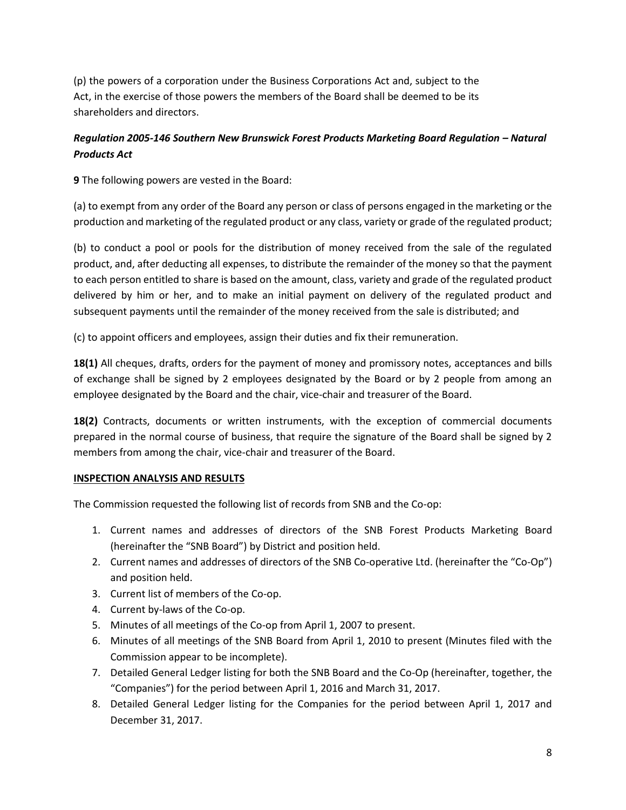(p) the powers of a corporation under the Business Corporations Act and, subject to the Act, in the exercise of those powers the members of the Board shall be deemed to be its shareholders and directors.

# *Regulation 2005-146 Southern New Brunswick Forest Products Marketing Board Regulation – Natural Products Act*

**9** The following powers are vested in the Board:

(a) to exempt from any order of the Board any person or class of persons engaged in the marketing or the production and marketing of the regulated product or any class, variety or grade of the regulated product;

(b) to conduct a pool or pools for the distribution of money received from the sale of the regulated product, and, after deducting all expenses, to distribute the remainder of the money so that the payment to each person entitled to share is based on the amount, class, variety and grade of the regulated product delivered by him or her, and to make an initial payment on delivery of the regulated product and subsequent payments until the remainder of the money received from the sale is distributed; and

(c) to appoint officers and employees, assign their duties and fix their remuneration.

**18(1)** All cheques, drafts, orders for the payment of money and promissory notes, acceptances and bills of exchange shall be signed by 2 employees designated by the Board or by 2 people from among an employee designated by the Board and the chair, vice-chair and treasurer of the Board.

**18(2)** Contracts, documents or written instruments, with the exception of commercial documents prepared in the normal course of business, that require the signature of the Board shall be signed by 2 members from among the chair, vice-chair and treasurer of the Board.

## **INSPECTION ANALYSIS AND RESULTS**

The Commission requested the following list of records from SNB and the Co-op:

- 1. Current names and addresses of directors of the SNB Forest Products Marketing Board (hereinafter the "SNB Board") by District and position held.
- 2. Current names and addresses of directors of the SNB Co-operative Ltd. (hereinafter the "Co-Op") and position held.
- 3. Current list of members of the Co-op.
- 4. Current by-laws of the Co-op.
- 5. Minutes of all meetings of the Co-op from April 1, 2007 to present.
- 6. Minutes of all meetings of the SNB Board from April 1, 2010 to present (Minutes filed with the Commission appear to be incomplete).
- 7. Detailed General Ledger listing for both the SNB Board and the Co-Op (hereinafter, together, the "Companies") for the period between April 1, 2016 and March 31, 2017.
- 8. Detailed General Ledger listing for the Companies for the period between April 1, 2017 and December 31, 2017.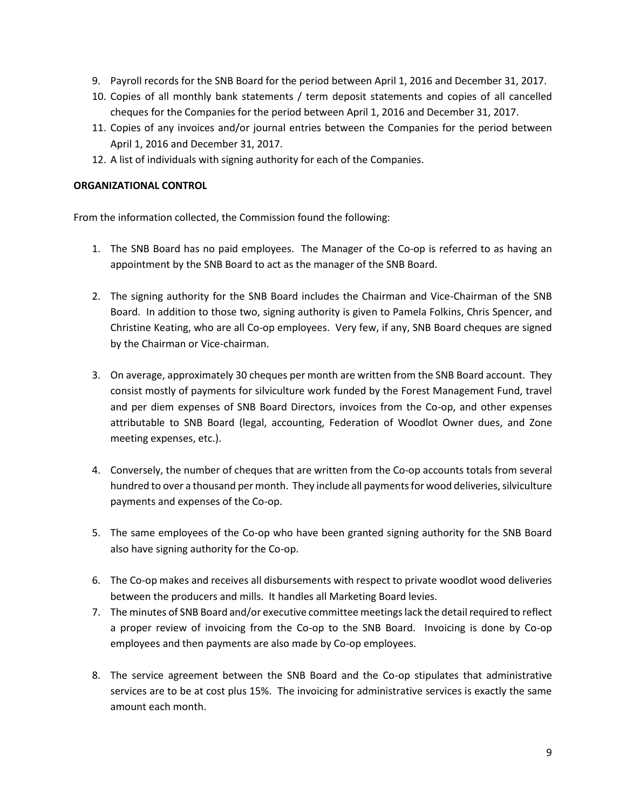- 9. Payroll records for the SNB Board for the period between April 1, 2016 and December 31, 2017.
- 10. Copies of all monthly bank statements / term deposit statements and copies of all cancelled cheques for the Companies for the period between April 1, 2016 and December 31, 2017.
- 11. Copies of any invoices and/or journal entries between the Companies for the period between April 1, 2016 and December 31, 2017.
- 12. A list of individuals with signing authority for each of the Companies.

#### **ORGANIZATIONAL CONTROL**

From the information collected, the Commission found the following:

- 1. The SNB Board has no paid employees. The Manager of the Co-op is referred to as having an appointment by the SNB Board to act as the manager of the SNB Board.
- 2. The signing authority for the SNB Board includes the Chairman and Vice-Chairman of the SNB Board. In addition to those two, signing authority is given to Pamela Folkins, Chris Spencer, and Christine Keating, who are all Co-op employees. Very few, if any, SNB Board cheques are signed by the Chairman or Vice-chairman.
- 3. On average, approximately 30 cheques per month are written from the SNB Board account. They consist mostly of payments for silviculture work funded by the Forest Management Fund, travel and per diem expenses of SNB Board Directors, invoices from the Co-op, and other expenses attributable to SNB Board (legal, accounting, Federation of Woodlot Owner dues, and Zone meeting expenses, etc.).
- 4. Conversely, the number of cheques that are written from the Co-op accounts totals from several hundred to over a thousand per month. They include all payments for wood deliveries, silviculture payments and expenses of the Co-op.
- 5. The same employees of the Co-op who have been granted signing authority for the SNB Board also have signing authority for the Co-op.
- 6. The Co-op makes and receives all disbursements with respect to private woodlot wood deliveries between the producers and mills. It handles all Marketing Board levies.
- 7. The minutes of SNB Board and/or executive committee meetings lack the detail required to reflect a proper review of invoicing from the Co-op to the SNB Board. Invoicing is done by Co-op employees and then payments are also made by Co-op employees.
- 8. The service agreement between the SNB Board and the Co-op stipulates that administrative services are to be at cost plus 15%. The invoicing for administrative services is exactly the same amount each month.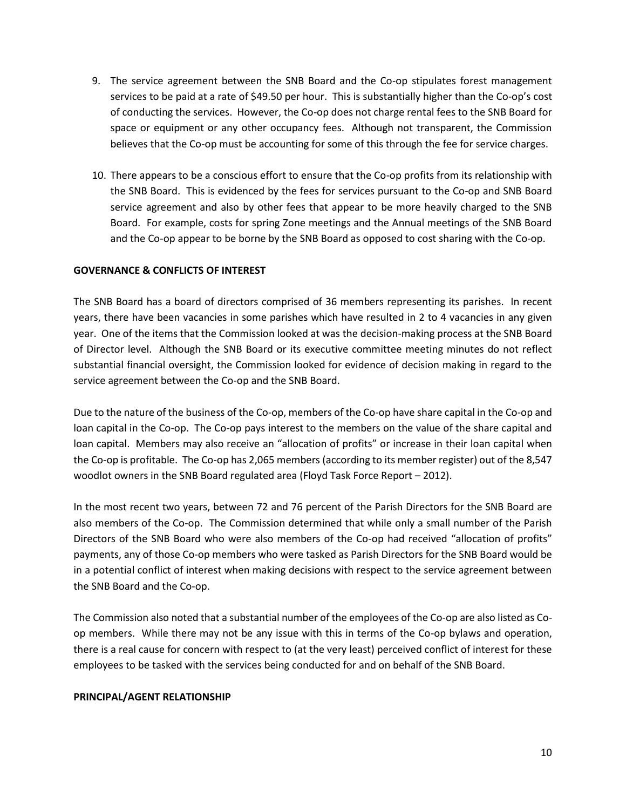- 9. The service agreement between the SNB Board and the Co-op stipulates forest management services to be paid at a rate of \$49.50 per hour. This is substantially higher than the Co-op's cost of conducting the services. However, the Co-op does not charge rental fees to the SNB Board for space or equipment or any other occupancy fees. Although not transparent, the Commission believes that the Co-op must be accounting for some of this through the fee for service charges.
- 10. There appears to be a conscious effort to ensure that the Co-op profits from its relationship with the SNB Board. This is evidenced by the fees for services pursuant to the Co-op and SNB Board service agreement and also by other fees that appear to be more heavily charged to the SNB Board. For example, costs for spring Zone meetings and the Annual meetings of the SNB Board and the Co-op appear to be borne by the SNB Board as opposed to cost sharing with the Co-op.

### **GOVERNANCE & CONFLICTS OF INTEREST**

The SNB Board has a board of directors comprised of 36 members representing its parishes. In recent years, there have been vacancies in some parishes which have resulted in 2 to 4 vacancies in any given year. One of the items that the Commission looked at was the decision-making process at the SNB Board of Director level. Although the SNB Board or its executive committee meeting minutes do not reflect substantial financial oversight, the Commission looked for evidence of decision making in regard to the service agreement between the Co-op and the SNB Board.

Due to the nature of the business of the Co-op, members of the Co-op have share capital in the Co-op and loan capital in the Co-op. The Co-op pays interest to the members on the value of the share capital and loan capital. Members may also receive an "allocation of profits" or increase in their loan capital when the Co-op is profitable. The Co-op has 2,065 members (according to its member register) out of the 8,547 woodlot owners in the SNB Board regulated area (Floyd Task Force Report – 2012).

In the most recent two years, between 72 and 76 percent of the Parish Directors for the SNB Board are also members of the Co-op. The Commission determined that while only a small number of the Parish Directors of the SNB Board who were also members of the Co-op had received "allocation of profits" payments, any of those Co-op members who were tasked as Parish Directors for the SNB Board would be in a potential conflict of interest when making decisions with respect to the service agreement between the SNB Board and the Co-op.

The Commission also noted that a substantial number of the employees of the Co-op are also listed as Coop members. While there may not be any issue with this in terms of the Co-op bylaws and operation, there is a real cause for concern with respect to (at the very least) perceived conflict of interest for these employees to be tasked with the services being conducted for and on behalf of the SNB Board.

#### **PRINCIPAL/AGENT RELATIONSHIP**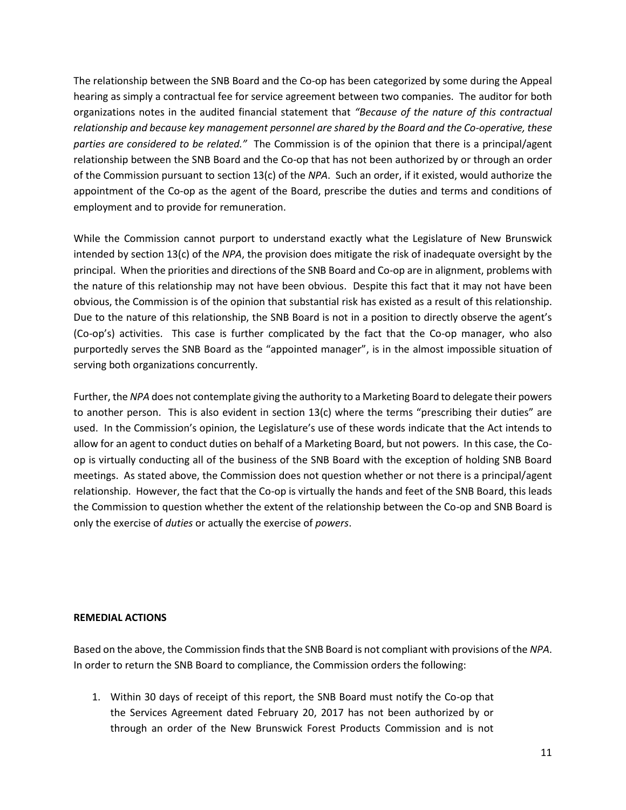The relationship between the SNB Board and the Co-op has been categorized by some during the Appeal hearing as simply a contractual fee for service agreement between two companies. The auditor for both organizations notes in the audited financial statement that *"Because of the nature of this contractual relationship and because key management personnel are shared by the Board and the Co-operative, these parties are considered to be related."* The Commission is of the opinion that there is a principal/agent relationship between the SNB Board and the Co-op that has not been authorized by or through an order of the Commission pursuant to section 13(c) of the *NPA*. Such an order, if it existed, would authorize the appointment of the Co-op as the agent of the Board, prescribe the duties and terms and conditions of employment and to provide for remuneration.

While the Commission cannot purport to understand exactly what the Legislature of New Brunswick intended by section 13(c) of the *NPA*, the provision does mitigate the risk of inadequate oversight by the principal. When the priorities and directions of the SNB Board and Co-op are in alignment, problems with the nature of this relationship may not have been obvious. Despite this fact that it may not have been obvious, the Commission is of the opinion that substantial risk has existed as a result of this relationship. Due to the nature of this relationship, the SNB Board is not in a position to directly observe the agent's (Co-op's) activities. This case is further complicated by the fact that the Co-op manager, who also purportedly serves the SNB Board as the "appointed manager", is in the almost impossible situation of serving both organizations concurrently.

Further, the *NPA* does not contemplate giving the authority to a Marketing Board to delegate their powers to another person. This is also evident in section 13(c) where the terms "prescribing their duties" are used. In the Commission's opinion, the Legislature's use of these words indicate that the Act intends to allow for an agent to conduct duties on behalf of a Marketing Board, but not powers. In this case, the Coop is virtually conducting all of the business of the SNB Board with the exception of holding SNB Board meetings. As stated above, the Commission does not question whether or not there is a principal/agent relationship. However, the fact that the Co-op is virtually the hands and feet of the SNB Board, this leads the Commission to question whether the extent of the relationship between the Co-op and SNB Board is only the exercise of *duties* or actually the exercise of *powers*.

#### **REMEDIAL ACTIONS**

Based on the above, the Commission finds that the SNB Board is not compliant with provisions of the *NPA*. In order to return the SNB Board to compliance, the Commission orders the following:

1. Within 30 days of receipt of this report, the SNB Board must notify the Co-op that the Services Agreement dated February 20, 2017 has not been authorized by or through an order of the New Brunswick Forest Products Commission and is not